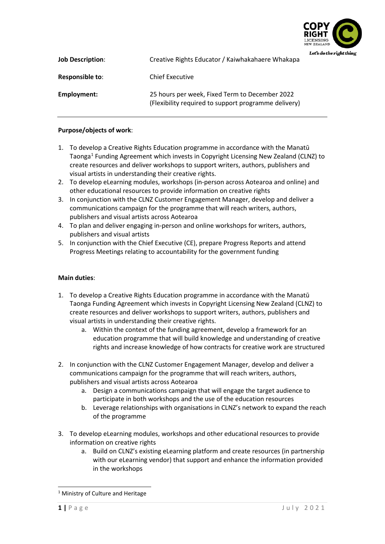

| <b>Job Description:</b> | Creative Rights Educator / Kaiwhakahaere Whakapa                                                       |  |
|-------------------------|--------------------------------------------------------------------------------------------------------|--|
| <b>Responsible to:</b>  | <b>Chief Executive</b>                                                                                 |  |
| Employment:             | 25 hours per week, Fixed Term to December 2022<br>(Flexibility required to support programme delivery) |  |

## **Purpose/objects of work**:

- 1. To develop a Creative Rights Education programme in accordance with the Manatū Taonga[1](#page-0-0) Funding Agreement which invests in Copyright Licensing New Zealand (CLNZ) to create resources and deliver workshops to support writers, authors, publishers and visual artists in understanding their creative rights.
- 2. To develop eLearning modules, workshops (in-person across Aotearoa and online) and other educational resources to provide information on creative rights
- 3. In conjunction with the CLNZ Customer Engagement Manager, develop and deliver a communications campaign for the programme that will reach writers, authors, publishers and visual artists across Aotearoa
- 4. To plan and deliver engaging in-person and online workshops for writers, authors, publishers and visual artists
- 5. In conjunction with the Chief Executive (CE), prepare Progress Reports and attend Progress Meetings relating to accountability for the government funding

# **Main duties**:

- 1. To develop a Creative Rights Education programme in accordance with the Manatū Taonga Funding Agreement which invests in Copyright Licensing New Zealand (CLNZ) to create resources and deliver workshops to support writers, authors, publishers and visual artists in understanding their creative rights.
	- a. Within the context of the funding agreement, develop a framework for an education programme that will build knowledge and understanding of creative rights and increase knowledge of how contracts for creative work are structured
- 2. In conjunction with the CLNZ Customer Engagement Manager, develop and deliver a communications campaign for the programme that will reach writers, authors, publishers and visual artists across Aotearoa
	- a. Design a communications campaign that will engage the target audience to participate in both workshops and the use of the education resources
	- b. Leverage relationships with organisations in CLNZ's network to expand the reach of the programme
- 3. To develop eLearning modules, workshops and other educational resources to provide information on creative rights
	- a. Build on CLNZ's existing eLearning platform and create resources (in partnership with our eLearning vendor) that support and enhance the information provided in the workshops

<span id="page-0-0"></span><sup>&</sup>lt;sup>1</sup> Ministry of Culture and Heritage